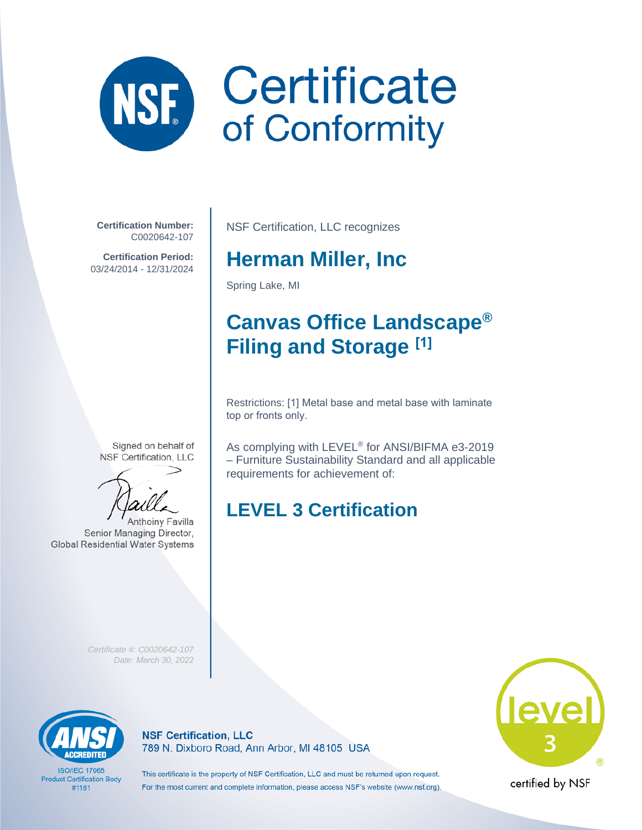# Certificate NSE of Conformity

**Certification Number:** C0020642-107

**Certification Period:** 03/24/2014 - 12/31/2024

Signed on behalf of NSF Certification, LLC



Senior Managing Director, **Global Residential Water Systems**  NSF Certification, LLC recognizes

#### **Herman Miller, Inc**

Spring Lake, MI

## **Canvas Office Landscape® Filing and Storage [1]**

Restrictions: [1] Metal base and metal base with laminate top or fronts only.

As complying with LEVEL® for ANSI/BIFMA e3-2019 – Furniture Sustainability Standard and all applicable requirements for achievement of:

## **LEVEL 3 Certification**

*Certificate #: C0020642-107 Date: March 30, 2022*



**ISO/IEC 17065 Product Certification Body** #1181

**NSF Certification, LLC** 789 N. Dixboro Road, Ann Arbor, MI 48105 USA

This certificate is the property of NSF Certification, LLC and must be returned upon request. For the most current and complete information, please access NSF's website (www.nsf.org).



certified by NSF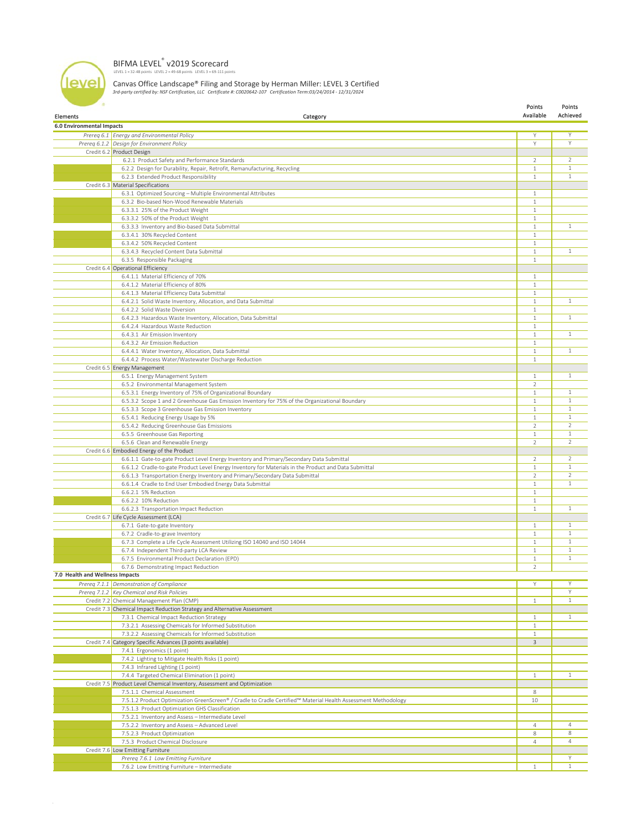#### BIFMA LEVEL<sup>®</sup> v2019 Scorecard<br>LEVEL 1 = 32-48 points LEVEL 2 = 49-68 points LEVEL 3 = 69-111 points

level

Canvas Office Landscape® Filing and Storage by Herman Miller: LEVEL 3 Certified *3rd-party certified by: NSF Certification, LLC Certificate #: C0020642-107 Certification Term:03/24/2014 - 12/31/2024*

| <b>Elements</b>                  | Category                                                                                                                                  | Points<br>Available            | Points<br>Achieved |
|----------------------------------|-------------------------------------------------------------------------------------------------------------------------------------------|--------------------------------|--------------------|
| <b>6.0 Environmental Impacts</b> |                                                                                                                                           |                                |                    |
|                                  | Prereq 6.1 Energy and Environmental Policy                                                                                                | Y                              | Υ                  |
|                                  | Prereq 6.1.2 Design for Environment Policy                                                                                                | Y                              | Y                  |
|                                  | Credit 6.2 Product Design                                                                                                                 |                                |                    |
|                                  | 6.2.1 Product Safety and Performance Standards                                                                                            | 2                              | 2                  |
|                                  | 6.2.2 Design for Durability, Repair, Retrofit, Remanufacturing, Recycling                                                                 | $1\,$                          | $\mathbf{1}$       |
|                                  | 6.2.3 Extended Product Responsibility                                                                                                     | $\mathbf{1}$                   | $\mathbf{1}$       |
|                                  | Credit 6.3 Material Specifications                                                                                                        |                                |                    |
|                                  | 6.3.1 Optimized Sourcing - Multiple Environmental Attributes                                                                              | $\mathbf{1}$                   |                    |
|                                  | 6.3.2 Bio-based Non-Wood Renewable Materials                                                                                              | $\mathbf{1}$                   |                    |
|                                  | 6.3.3.1 25% of the Product Weight                                                                                                         | 1                              |                    |
|                                  | 6.3.3.2 50% of the Product Weight                                                                                                         | $\mathbf{1}$                   |                    |
|                                  | 6.3.3.3 Inventory and Bio-based Data Submittal                                                                                            | $\mathbf{1}$                   | $\mathbf{1}$       |
|                                  | 6.3.4.1 30% Recycled Content                                                                                                              | $\mathbf{1}$                   |                    |
|                                  | 6.3.4.2 50% Recycled Content                                                                                                              | $1\,$                          |                    |
|                                  | 6.3.4.3 Recycled Content Data Submittal                                                                                                   | $\mathbf{1}$                   | $\mathbf{1}$       |
|                                  | 6.3.5 Responsible Packaging                                                                                                               | $\mathbf{1}$                   |                    |
|                                  | Credit 6.4 Operational Efficiency                                                                                                         |                                |                    |
|                                  | 6.4.1.1 Material Efficiency of 70%                                                                                                        | $\mathbf{1}$                   |                    |
|                                  | 6.4.1.2 Material Efficiency of 80%                                                                                                        | $\mathbf{1}$                   |                    |
|                                  | 6.4.1.3 Material Efficiency Data Submittal                                                                                                | $1\,$                          |                    |
|                                  | 6.4.2.1 Solid Waste Inventory, Allocation, and Data Submittal                                                                             | $\mathbf{1}$                   | $\mathbf{1}$       |
|                                  | 6.4.2.2 Solid Waste Diversion                                                                                                             | $\mathbf{1}$                   |                    |
|                                  | 6.4.2.3 Hazardous Waste Inventory, Allocation, Data Submittal                                                                             | $\mathbf{1}$                   | $\mathbf{1}$       |
|                                  | 6.4.2.4 Hazardous Waste Reduction                                                                                                         | $\mathbf{1}$                   |                    |
|                                  | 6.4.3.1 Air Emission Inventory                                                                                                            | $\mathbf{1}$                   | $\mathbf{1}$       |
|                                  | 6.4.3.2 Air Emission Reduction                                                                                                            | $\mathbf{1}$                   |                    |
|                                  | 6.4.4.1 Water Inventory, Allocation, Data Submittal                                                                                       | $\,1\,$                        | $\mathbf{1}$       |
|                                  | 6.4.4.2 Process Water/Wastewater Discharge Reduction                                                                                      | $\mathbf{1}$                   |                    |
|                                  | Credit 6.5 Energy Management                                                                                                              |                                |                    |
|                                  | 6.5.1 Energy Management System                                                                                                            | $\mathbf{1}$                   | $\mathbf{1}$       |
|                                  | 6.5.2 Environmental Management System                                                                                                     | $\overline{2}$                 |                    |
|                                  | 6.5.3.1 Energy Inventory of 75% of Organizational Boundary                                                                                | $\mathbf{1}$                   | $\mathbf{1}$       |
|                                  | 6.5.3.2 Scope 1 and 2 Greenhouse Gas Emission Inventory for 75% of the Organizational Boundary                                            | $\mathbf{1}$                   | $\mathbf{1}$       |
|                                  | 6.5.3.3 Scope 3 Greenhouse Gas Emission Inventory                                                                                         | $\mathbf{1}$                   | $\mathbf{1}$       |
|                                  | 6.5.4.1 Reducing Energy Usage by 5%                                                                                                       | $\mathbf{1}$                   | $\mathbf{1}$       |
|                                  | 6.5.4.2 Reducing Greenhouse Gas Emissions                                                                                                 | $\overline{2}$                 | $\overline{2}$     |
|                                  | 6.5.5 Greenhouse Gas Reporting                                                                                                            | $\mathbf{1}$                   | $\mathbf{1}$       |
|                                  | 6.5.6 Clean and Renewable Energy                                                                                                          | $\overline{2}$                 | $\overline{2}$     |
|                                  | Credit 6.6 Embodied Energy of the Product                                                                                                 |                                |                    |
|                                  | 6.6.1.1 Gate-to-gate Product Level Energy Inventory and Primary/Secondary Data Submittal                                                  | 2                              | 2                  |
|                                  | 6.6.1.2 Cradle-to-gate Product Level Energy Inventory for Materials in the Product and Data Submittal                                     | $\mathbf{1}$                   | $\mathbf{1}$       |
|                                  |                                                                                                                                           | $\overline{2}$                 | $\overline{2}$     |
|                                  | 6.6.1.3 Transportation Energy Inventory and Primary/Secondary Data Submittal<br>6.6.1.4 Cradle to End User Embodied Energy Data Submittal | $\mathbf{1}$                   | $\mathbf{1}$       |
|                                  | 6.6.2.1 5% Reduction                                                                                                                      | $\mathbf{1}$                   |                    |
|                                  | 6.6.2.2 10% Reduction                                                                                                                     | $\,1\,$                        |                    |
|                                  | 6.6.2.3 Transportation Impact Reduction                                                                                                   | $\mathbf{1}$                   | $\mathbf{1}$       |
|                                  | Credit 6.7 Life Cycle Assessment (LCA)                                                                                                    |                                |                    |
|                                  |                                                                                                                                           | $1\,$                          | $\mathbf{1}$       |
|                                  | 6.7.1 Gate-to-gate Inventory<br>6.7.2 Cradle-to-grave Inventory                                                                           | $\mathbf{1}$                   | $\mathbf{1}$       |
|                                  |                                                                                                                                           |                                | $\mathbf{1}$       |
|                                  | 6.7.3 Complete a Life Cycle Assessment Utilizing ISO 14040 and ISO 14044<br>6.7.4 Independent Third-party LCA Review                      | $\mathbf{1}$<br>$\mathbf{1}$   | $\mathbf{1}$       |
|                                  |                                                                                                                                           |                                |                    |
|                                  | 6.7.5 Environmental Product Declaration (EPD)                                                                                             | $\mathbf{1}$<br>$\overline{2}$ | $\mathbf{1}$       |
|                                  | 6.7.6 Demonstrating Impact Reduction                                                                                                      |                                |                    |
| 7.0 Health and Wellness Impacts  |                                                                                                                                           |                                |                    |
|                                  | Prereq 7.1.1 Demonstration of Compliance                                                                                                  | Υ                              | Υ<br>Y             |
|                                  | Prereq 7.1.2 Key Chemical and Risk Policies                                                                                               |                                | $\mathbf{1}$       |
|                                  | Credit 7.2 Chemical Management Plan (CMP)                                                                                                 | $\mathbf{1}$                   |                    |
|                                  | Credit 7.3 Chemical Impact Reduction Strategy and Alternative Assessment                                                                  |                                |                    |
|                                  | 7.3.1 Chemical Impact Reduction Strategy                                                                                                  | $\mathbf{1}$                   | $\mathbf{1}$       |
|                                  | 7.3.2.1 Assessing Chemicals for Informed Substitution                                                                                     | $\mathbf{1}$                   |                    |
|                                  | 7.3.2.2 Assessing Chemicals for Informed Substitution                                                                                     | $\mathbf{1}$                   |                    |
|                                  | Credit 7.4 Category Specific Advances (3 points available)                                                                                | 3                              |                    |
|                                  | 7.4.1 Ergonomics (1 point)                                                                                                                |                                |                    |
|                                  | 7.4.2 Lighting to Mitigate Health Risks (1 point)                                                                                         |                                |                    |
|                                  | 7.4.3 Infrared Lighting (1 point)                                                                                                         |                                |                    |
|                                  | 7.4.4 Targeted Chemical Elimination (1 point)                                                                                             | $\mathbf{1}$                   | $\mathbf{1}$       |
|                                  | Credit 7.5 Product Level Chemical Inventory, Assessment and Optimization                                                                  |                                |                    |
|                                  | 7.5.1.1 Chemical Assessment                                                                                                               | 8                              |                    |
|                                  | 7.5.1.2 Product Optimization GreenScreen® / Cradle to Cradle Certified™ Material Health Assessment Methodology                            | 10                             |                    |
|                                  | 7.5.1.3 Product Optimization GHS Classification                                                                                           |                                |                    |
|                                  | 7.5.2.1 Inventory and Assess - Intermediate Level                                                                                         |                                |                    |
|                                  | 7.5.2.2 Inventory and Assess - Advanced Level                                                                                             | 4                              | 4                  |
|                                  | 7.5.2.3 Product Optimization                                                                                                              | 8                              | 8                  |
|                                  | 7.5.3 Product Chemical Disclosure                                                                                                         | $\overline{4}$                 | 4                  |
|                                  | Credit 7.6 Low Emitting Furniture                                                                                                         |                                |                    |
|                                  | Prereg 7.6.1 Low Emitting Furniture                                                                                                       |                                | Υ                  |
|                                  | 7.6.2 Low Emitting Furniture - Intermediate                                                                                               | $\mathbf{1}$                   | $\mathbf{1}$       |